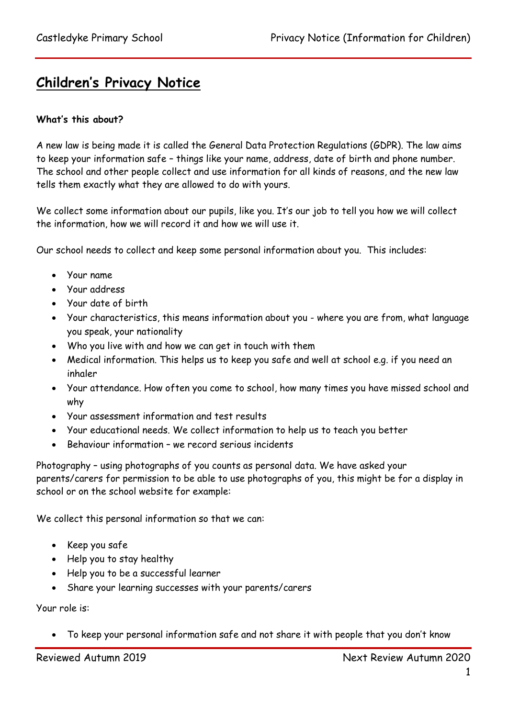## **Children's Privacy Notice**

## **What's this about?**

A new law is being made it is called the General Data Protection Regulations (GDPR). The law aims to keep your information safe – things like your name, address, date of birth and phone number. The school and other people collect and use information for all kinds of reasons, and the new law tells them exactly what they are allowed to do with yours.

We collect some information about our pupils, like you. It's our job to tell you how we will collect the information, how we will record it and how we will use it.

Our school needs to collect and keep some personal information about you. This includes:

- Your name
- Your address
- Your date of birth
- Your characteristics, this means information about you where you are from, what language you speak, your nationality
- Who you live with and how we can get in touch with them
- Medical information. This helps us to keep you safe and well at school e.g. if you need an inhaler
- Your attendance. How often you come to school, how many times you have missed school and why
- Your assessment information and test results
- Your educational needs. We collect information to help us to teach you better
- Behaviour information we record serious incidents

Photography – using photographs of you counts as personal data. We have asked your parents/carers for permission to be able to use photographs of you, this might be for a display in school or on the school website for example:

We collect this personal information so that we can:

- Keep you safe
- Help you to stay healthy
- Help you to be a successful learner
- Share your learning successes with your parents/carers

Your role is:

To keep your personal information safe and not share it with people that you don't know